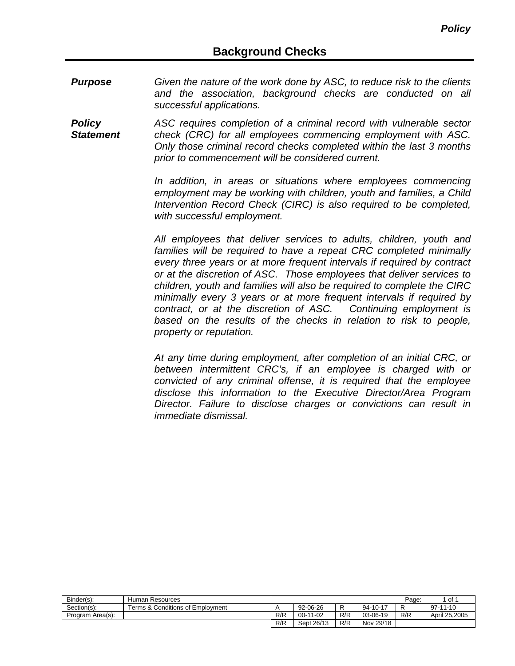- *Purpose Given the nature of the work done by ASC, to reduce risk to the clients and the association, background checks are conducted on all successful applications.*
- *Policy Statement ASC requires completion of a criminal record with vulnerable sector check (CRC) for all employees commencing employment with ASC. Only those criminal record checks completed within the last 3 months prior to commencement will be considered current.*

*In addition, in areas or situations where employees commencing employment may be working with children, youth and families, a Child Intervention Record Check (CIRC) is also required to be completed, with successful employment.*

*All employees that deliver services to adults, children, youth and families will be required to have a repeat CRC completed minimally every three years or at more frequent intervals if required by contract or at the discretion of ASC. Those employees that deliver services to children, youth and families will also be required to complete the CIRC minimally every 3 years or at more frequent intervals if required by contract, or at the discretion of ASC. Continuing employment is based on the results of the checks in relation to risk to people, property or reputation.*

*At any time during employment, after completion of an initial CRC, or between intermittent CRC's, if an employee is charged with or convicted of any criminal offense, it is required that the employee disclose this information to the Executive Director/Area Program Director. Failure to disclose charges or convictions can result in immediate dismissal.*

| Binder(s):       | Human Resources                  |     |            |     |           | Page: | of            |
|------------------|----------------------------------|-----|------------|-----|-----------|-------|---------------|
| Section(s):      | Terms & Conditions of Emplovment |     | 92-06-26   | R   | 94-10-17  |       | $97-11-10$    |
| Program Area(s): |                                  | R/R | $00-11-02$ | R/R | 03-06-19  | R/R   | April 25.2005 |
|                  |                                  | R/R | Sept 26/13 | R/R | Nov 29/18 |       |               |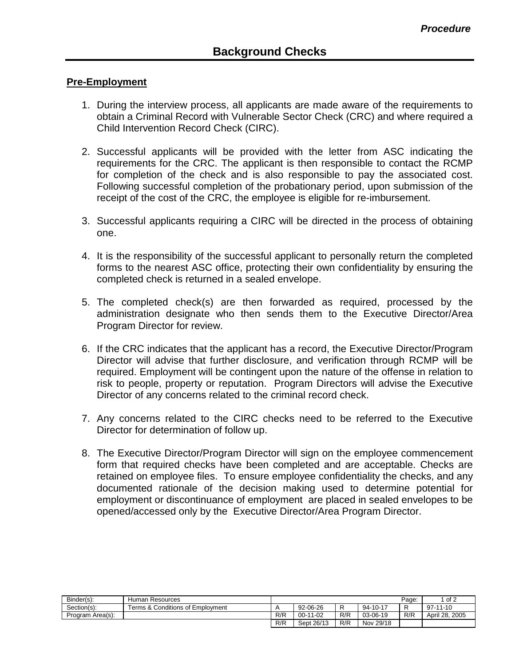## **Pre-Employment**

- 1. During the interview process, all applicants are made aware of the requirements to obtain a Criminal Record with Vulnerable Sector Check (CRC) and where required a Child Intervention Record Check (CIRC).
- 2. Successful applicants will be provided with the letter from ASC indicating the requirements for the CRC. The applicant is then responsible to contact the RCMP for completion of the check and is also responsible to pay the associated cost. Following successful completion of the probationary period, upon submission of the receipt of the cost of the CRC, the employee is eligible for re-imbursement.
- 3. Successful applicants requiring a CIRC will be directed in the process of obtaining one.
- 4. It is the responsibility of the successful applicant to personally return the completed forms to the nearest ASC office, protecting their own confidentiality by ensuring the completed check is returned in a sealed envelope.
- 5. The completed check(s) are then forwarded as required, processed by the administration designate who then sends them to the Executive Director/Area Program Director for review.
- 6. If the CRC indicates that the applicant has a record, the Executive Director/Program Director will advise that further disclosure, and verification through RCMP will be required. Employment will be contingent upon the nature of the offense in relation to risk to people, property or reputation. Program Directors will advise the Executive Director of any concerns related to the criminal record check.
- 7. Any concerns related to the CIRC checks need to be referred to the Executive Director for determination of follow up.
- 8. The Executive Director/Program Director will sign on the employee commencement form that required checks have been completed and are acceptable. Checks are retained on employee files. To ensure employee confidentiality the checks, and any documented rationale of the decision making used to determine potential for employment or discontinuance of employment are placed in sealed envelopes to be opened/accessed only by the Executive Director/Area Program Director.

| Binder(s):       | Human Resources                  |     |            |     |           | Page: | of 2                |
|------------------|----------------------------------|-----|------------|-----|-----------|-------|---------------------|
| Section(s):      | Terms & Conditions of Employment |     | 92-06-26   |     | 94-10-17  |       | 97-11-10            |
| Program Area(s): |                                  | R/R | 00-11-02   | R/R | 03-06-19  | R/R   | . 2005<br>April 28. |
|                  |                                  | R/R | Sept 26/13 | R/R | Nov 29/18 |       |                     |